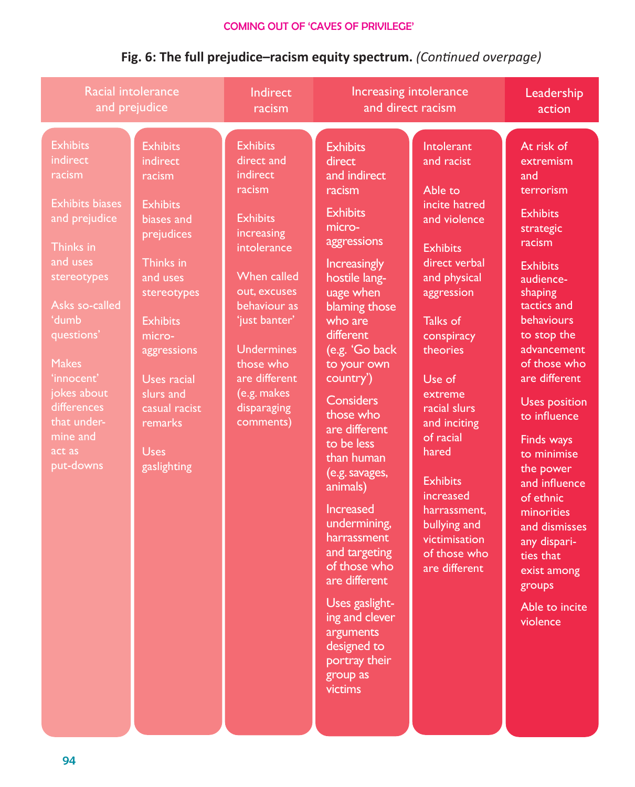| <b>Racial intolerance</b>                                                                                                                                                                                                                                                                                       |                                                                                                                                                                                                                                                                | <b>Indirect</b>                                                                                                                                                                                                                                                          | Increasing intolerance                                                                                                                                                                                                                                                                                                                                                                                                                                                                                                                                        |                                                                                                                                                                                                                                                                                                                                                                           | Leadership                                                                                                                                                                                                                                                                                                                                                                                                                                                      |
|-----------------------------------------------------------------------------------------------------------------------------------------------------------------------------------------------------------------------------------------------------------------------------------------------------------------|----------------------------------------------------------------------------------------------------------------------------------------------------------------------------------------------------------------------------------------------------------------|--------------------------------------------------------------------------------------------------------------------------------------------------------------------------------------------------------------------------------------------------------------------------|---------------------------------------------------------------------------------------------------------------------------------------------------------------------------------------------------------------------------------------------------------------------------------------------------------------------------------------------------------------------------------------------------------------------------------------------------------------------------------------------------------------------------------------------------------------|---------------------------------------------------------------------------------------------------------------------------------------------------------------------------------------------------------------------------------------------------------------------------------------------------------------------------------------------------------------------------|-----------------------------------------------------------------------------------------------------------------------------------------------------------------------------------------------------------------------------------------------------------------------------------------------------------------------------------------------------------------------------------------------------------------------------------------------------------------|
| and prejudice                                                                                                                                                                                                                                                                                                   |                                                                                                                                                                                                                                                                | racism                                                                                                                                                                                                                                                                   | and direct racism                                                                                                                                                                                                                                                                                                                                                                                                                                                                                                                                             |                                                                                                                                                                                                                                                                                                                                                                           | action                                                                                                                                                                                                                                                                                                                                                                                                                                                          |
| <b>Exhibits</b><br>indirect<br>racism<br><b>Exhibits biases</b><br>and prejudice<br>Thinks in<br>and uses<br>stereotypes<br>Asks so-called<br>dumb <sup>'</sup><br>questions'<br><b>Makes</b><br>'innocent'<br>jokes about<br>differences<br>that under-<br>mine and<br>$\overline{\text{act}}$ as<br>put-downs | <b>Exhibits</b><br>indirect<br>racism<br><b>Exhibits</b><br>biases and<br>prejudices<br>Thinks in<br>and uses<br>stereotypes<br><b>Exhibits</b><br>micro-<br>aggressions<br>Uses racial<br>slurs and<br>casual racist<br>remarks<br><b>Uses</b><br>gaslighting | <b>Exhibits</b><br>direct and<br>indirect<br>racism<br><b>Exhibits</b><br>increasing<br>intolerance<br><b>When called</b><br>out, excuses<br>behaviour as<br>'just banter'<br><b>Undermines</b><br>those who<br>are different<br>(e.g. makes<br>disparaging<br>comments) | <b>Exhibits</b><br>direct<br>and indirect<br>racism<br><b>Exhibits</b><br>micro-<br>aggressions<br><b>Increasingly</b><br>hostile lang-<br>uage when<br>blaming those<br>who are<br>different<br>(e.g. 'Go back<br>to your own<br>country')<br>Considers<br>those who<br>are different<br>to be less<br>than human<br>(e.g. savages,<br>animals)<br><b>Increased</b><br>undermining,<br>harrassment<br>and targeting<br>of those who<br>are different<br>Uses gaslight-<br>ing and clever<br>arguments<br>designed to<br>portray their<br>group as<br>victims | Intolerant<br>and racist<br>Able to<br>incite hatred<br>and violence<br><b>Exhibits</b><br>direct verbal<br>and physical<br>aggression<br>Talks of<br>conspiracy<br>theories<br>Use of<br>extreme<br>racial slurs<br>and inciting<br>of racial<br>hared<br><b>Exhibits</b><br>increased<br>harrassment,<br>bullying and<br>victimisation<br>of those who<br>are different | At risk of<br>extremism<br>and<br>terrorism<br><b>Exhibits</b><br>strategic<br>racism<br><b>Exhibits</b><br>audience-<br>shaping<br>tactics and<br>behaviours<br>to stop the<br>advancement<br>of those who<br>are different<br><b>Uses position</b><br>to influence<br>Finds ways<br>to minimise<br>the power<br>and influence<br>of ethnic<br>minorities<br>and dismisses<br>any dispari-<br>ties that<br>exist among<br>groups<br>Able to incite<br>violence |

## **Fig. 6: The full prejudice–racism equity spectrum.** *(Continued overpage)*